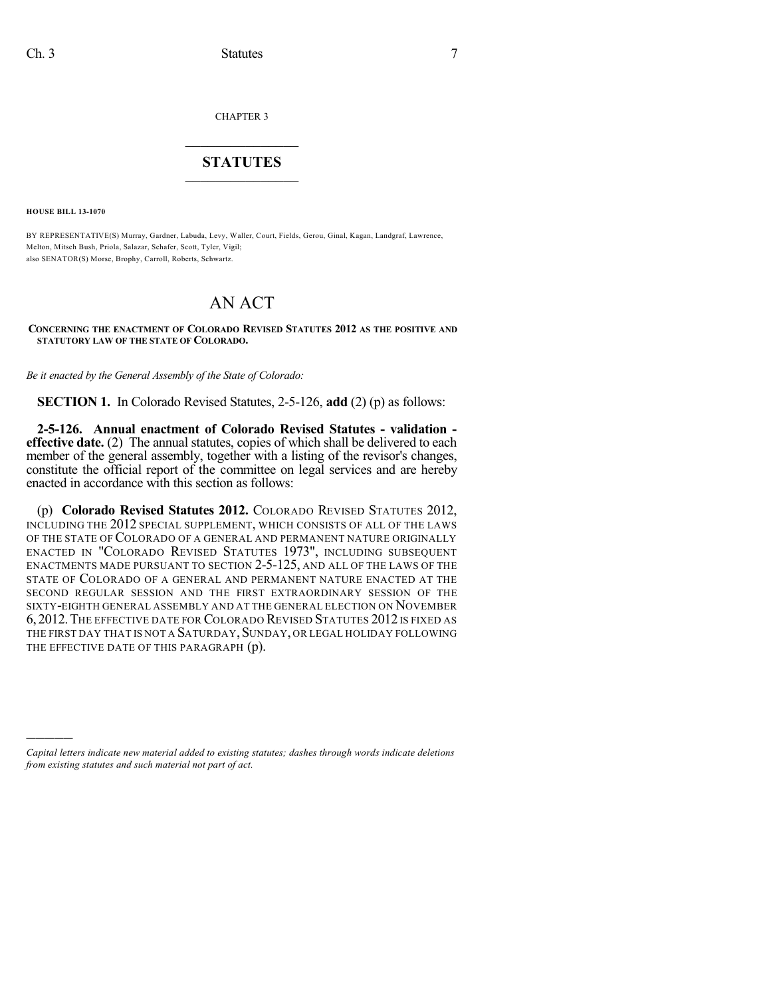CHAPTER 3

## $\mathcal{L}_\text{max}$  . The set of the set of the set of the set of the set of the set of the set of the set of the set of the set of the set of the set of the set of the set of the set of the set of the set of the set of the set **STATUTES**  $\_$   $\_$

**HOUSE BILL 13-1070**

)))))

BY REPRESENTATIVE(S) Murray, Gardner, Labuda, Levy, Waller, Court, Fields, Gerou, Ginal, Kagan, Landgraf, Lawrence, Melton, Mitsch Bush, Priola, Salazar, Schafer, Scott, Tyler, Vigil; also SENATOR(S) Morse, Brophy, Carroll, Roberts, Schwartz.

## AN ACT

**CONCERNING THE ENACTMENT OF COLORADO REVISED STATUTES 2012 AS THE POSITIVE AND STATUTORY LAW OF THE STATE OF COLORADO.**

*Be it enacted by the General Assembly of the State of Colorado:*

**SECTION 1.** In Colorado Revised Statutes, 2-5-126, **add** (2) (p) as follows:

**2-5-126. Annual enactment of Colorado Revised Statutes - validation effective date.** (2) The annual statutes, copies of which shall be delivered to each member of the general assembly, together with a listing of the revisor's changes, constitute the official report of the committee on legal services and are hereby enacted in accordance with this section as follows:

(p) **Colorado Revised Statutes 2012.** COLORADO REVISED STATUTES 2012, INCLUDING THE 2012 SPECIAL SUPPLEMENT, WHICH CONSISTS OF ALL OF THE LAWS OF THE STATE OF COLORADO OF A GENERAL AND PERMANENT NATURE ORIGINALLY ENACTED IN "COLORADO REVISED STATUTES 1973", INCLUDING SUBSEQUENT ENACTMENTS MADE PURSUANT TO SECTION 2-5-125, AND ALL OF THE LAWS OF THE STATE OF COLORADO OF A GENERAL AND PERMANENT NATURE ENACTED AT THE SECOND REGULAR SESSION AND THE FIRST EXTRAORDINARY SESSION OF THE SIXTY-EIGHTH GENERAL ASSEMBLY AND AT THE GENERAL ELECTION ON NOVEMBER 6, 2012. THE EFFECTIVE DATE FOR COLORADO REVISED STATUTES 2012 IS FIXED AS THE FIRST DAY THAT IS NOT A SATURDAY, SUNDAY, OR LEGAL HOLIDAY FOLLOWING THE EFFECTIVE DATE OF THIS PARAGRAPH  $(p)$ .

*Capital letters indicate new material added to existing statutes; dashes through words indicate deletions from existing statutes and such material not part of act.*